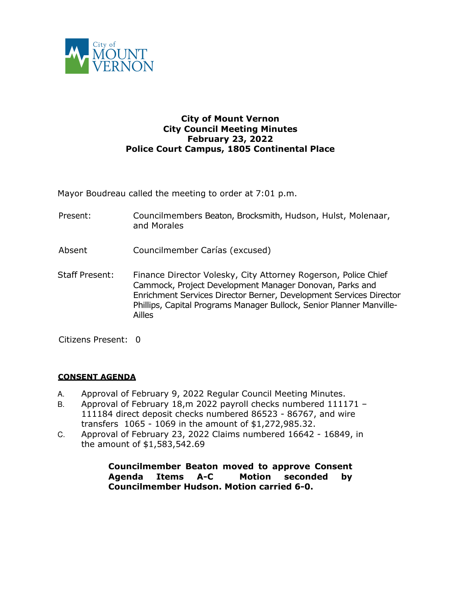

## **City of Mount Vernon City Council Meeting Minutes February 23, 2022 Police Court Campus, 1805 Continental Place**

Mayor Boudreau called the meeting to order at 7:01 p.m.

- Present: Councilmembers Beaton, Brocksmith, Hudson, Hulst, Molenaar, and Morales
- Absent Councilmember Carías (excused)
- Staff Present: Finance Director Volesky, City Attorney Rogerson, Police Chief Cammock, Project Development Manager Donovan, Parks and Enrichment Services Director Berner, Development Services Director Phillips, Capital Programs Manager Bullock, Senior Planner Manville-Ailles

Citizens Present: 0

## **CONSENT AGENDA**

- A. Approval of February 9, 2022 Regular Council Meeting Minutes.
- B. Approval of February 18, m 2022 payroll checks numbered 111171 -111184 direct deposit checks numbered 86523 - 86767, and wire transfers 1065 - 1069 in the amount of \$1,272,985.32.
- C. Approval of February 23, 2022 Claims numbered 16642 16849, in the amount of \$1,583,542.69

**Councilmember Beaton moved to approve Consent Agenda Items A-C Motion seconded by Councilmember Hudson. Motion carried 6-0.**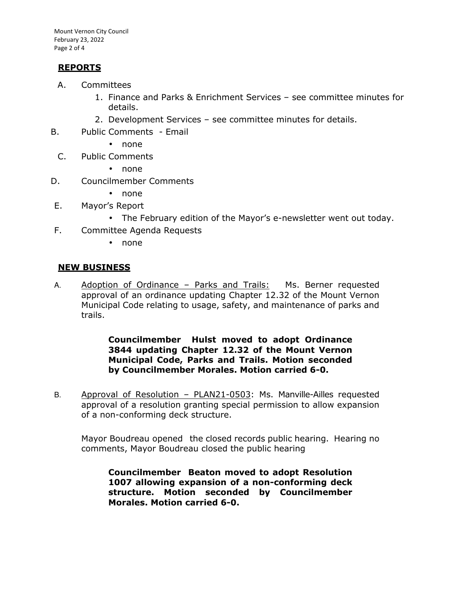Mount Vernon City Council February 23, 2022 Page 2 of 4

## **REPORTS**

- A. Committees
	- 1. Finance and Parks & Enrichment Services see committee minutes for details.
	- 2. Development Services see committee minutes for details.
- B. Public Comments Email
	- none
	- C. Public Comments
		- none
- D. Councilmember Comments
	- none
- E. Mayor's Report
	- The February edition of the Mayor's e-newsletter went out today.
- F. Committee Agenda Requests
	- none

## **NEW BUSINESS**

A. Adoption of Ordinance - Parks and Trails: Ms. Berner requested approval of an ordinance updating Chapter 12.32 of the Mount Vernon Municipal Code relating to usage, safety, and maintenance of parks and trails.

> **Councilmember Hulst moved to adopt Ordinance 3844 updating Chapter 12.32 of the Mount Vernon Municipal Code, Parks and Trails. Motion seconded by Councilmember Morales. Motion carried 6-0.**

B. Approval of Resolution – PLAN21-0503: Ms. Manville-Ailles requested approval of a resolution granting special permission to allow expansion of a non-conforming deck structure.

Mayor Boudreau opened the closed records public hearing. Hearing no comments, Mayor Boudreau closed the public hearing

**Councilmember Beaton moved to adopt Resolution 1007 allowing expansion of a non-conforming deck structure. Motion seconded by Councilmember Morales. Motion carried 6-0.**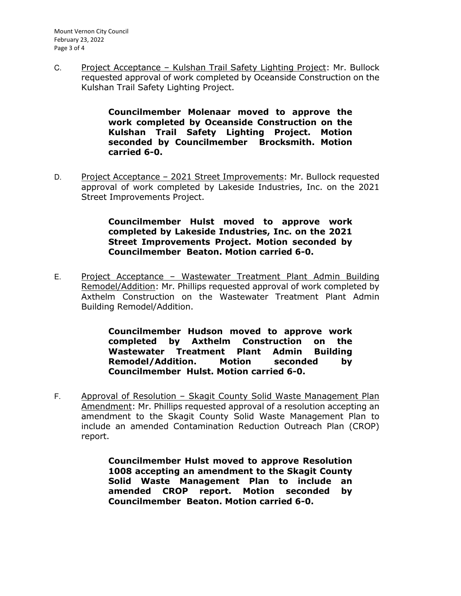C. Project Acceptance – Kulshan Trail Safety Lighting Project: Mr. Bullock requested approval of work completed by Oceanside Construction on the Kulshan Trail Safety Lighting Project.

> **Councilmember Molenaar moved to approve the work completed by Oceanside Construction on the Kulshan Trail Safety Lighting Project. Motion seconded by Councilmember Brocksmith. Motion carried 6-0.**

D. Project Acceptance - 2021 Street Improvements: Mr. Bullock requested approval of work completed by Lakeside Industries, Inc. on the 2021 Street Improvements Project.

> **Councilmember Hulst moved to approve work completed by Lakeside Industries, Inc. on the 2021 Street Improvements Project. Motion seconded by Councilmember Beaton. Motion carried 6-0.**

E. Project Acceptance – Wastewater Treatment Plant Admin Building Remodel/Addition: Mr. Phillips requested approval of work completed by Axthelm Construction on the Wastewater Treatment Plant Admin Building Remodel/Addition.

> **Councilmember Hudson moved to approve work completed by Axthelm Construction on the Wastewater Treatment Plant Admin Building Remodel/Addition. Motion seconded by Councilmember Hulst. Motion carried 6-0.**

F. Approval of Resolution - Skagit County Solid Waste Management Plan Amendment: Mr. Phillips requested approval of a resolution accepting an amendment to the Skagit County Solid Waste Management Plan to include an amended Contamination Reduction Outreach Plan (CROP) report.

> **Councilmember Hulst moved to approve Resolution 1008 accepting an amendment to the Skagit County Solid Waste Management Plan to include an amended CROP report. Motion seconded by Councilmember Beaton. Motion carried 6-0.**